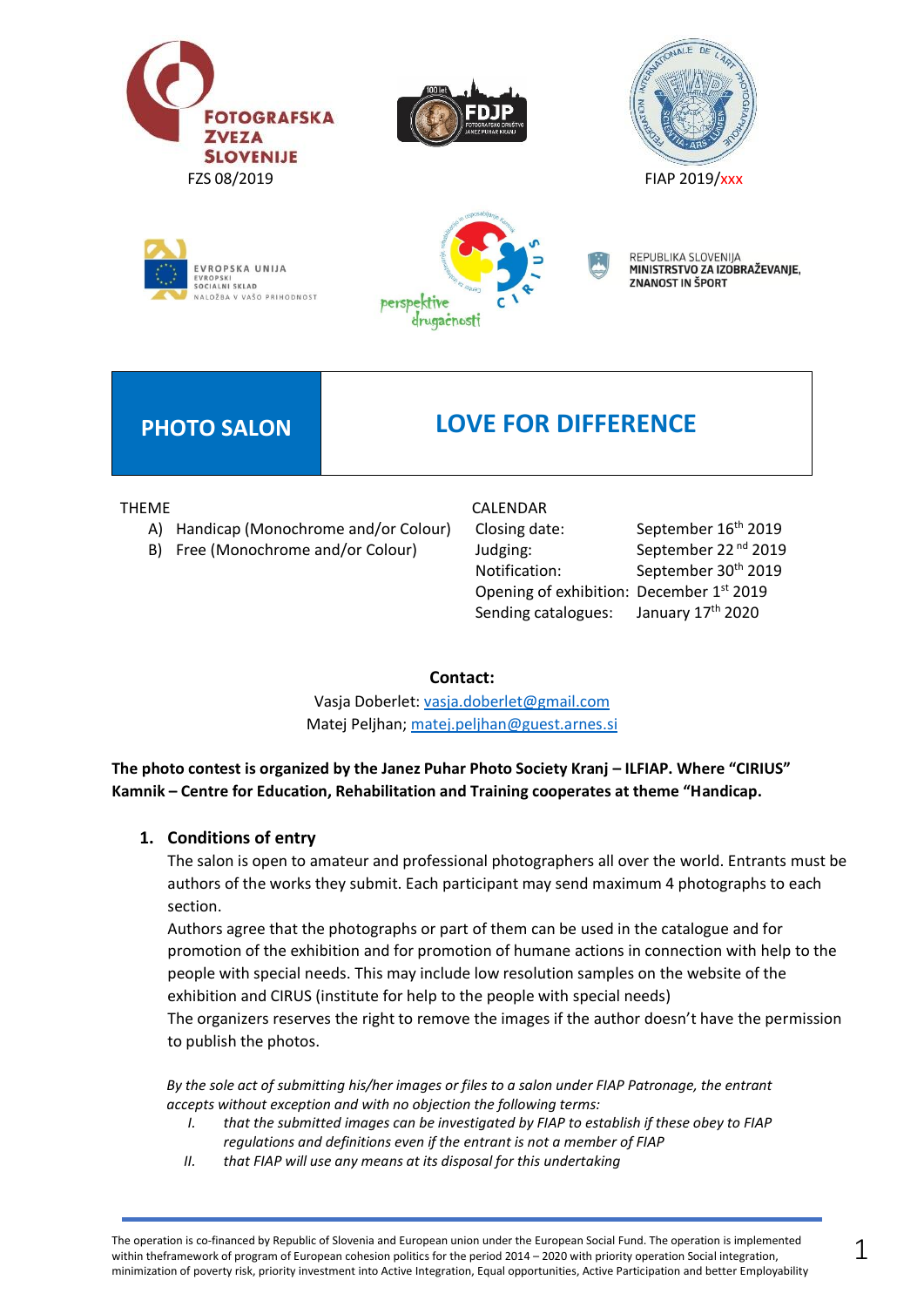









REPUBLIKA SLOVENIJA MINISTRSTVO ZA IZOBRAŽEVANJE, **ZNANOST IN ŠPORT** 

## **PHOTO SALON LOVE FOR DIFFERENCE**

THEME

- A) Handicap (Monochrome and/or Colour)
- B) Free (Monochrome and/or Colour)

#### CALENDAR

Closing date: September 16<sup>th</sup> 2019 Judging: September 22<sup>nd</sup> 2019 Notification: September 30<sup>th</sup> 2019 Opening of exhibition: December 1st 2019 Sending catalogues:

January 17th 2020

#### **Contact:**

Vasja Doberlet: [vasja.doberlet@gmail.com](mailto:vasja.doberlet@gmail.com) Matej Peljhan; [matej.peljhan@guest.arnes.si](mailto:matej.peljhan@guest.arnes.si)

**The photo contest is organized by the Janez Puhar Photo Society Kranj – ILFIAP. Where "CIRIUS" Kamnik – Centre for Education, Rehabilitation and Training cooperates at theme "Handicap.**

### **1. Conditions of entry**

The salon is open to amateur and professional photographers all over the world. Entrants must be authors of the works they submit. Each participant may send maximum 4 photographs to each section.

Authors agree that the photographs or part of them can be used in the catalogue and for promotion of the exhibition and for promotion of humane actions in connection with help to the people with special needs. This may include low resolution samples on the website of the exhibition and CIRUS (institute for help to the people with special needs) The organizers reserves the right to remove the images if the author doesn't have the permission to publish the photos.

*By the sole act of submitting his/her images or files to a salon under FIAP Patronage, the entrant accepts without exception and with no objection the following terms:*

- *I. that the submitted images can be investigated by FIAP to establish if these obey to FIAP regulations and definitions even if the entrant is not a member of FIAP*
- *II. that FIAP will use any means at its disposal for this undertaking*

The operation is co-financed by Republic of Slovenia and European union under the European Social Fund. The operation is implemented within theframework of program of European cohesion politics for the period 2014 – 2020 with priority operation Social integration, minimization of poverty risk, priority investment into Active Integration, Equal opportunities, Active Participation and better Employability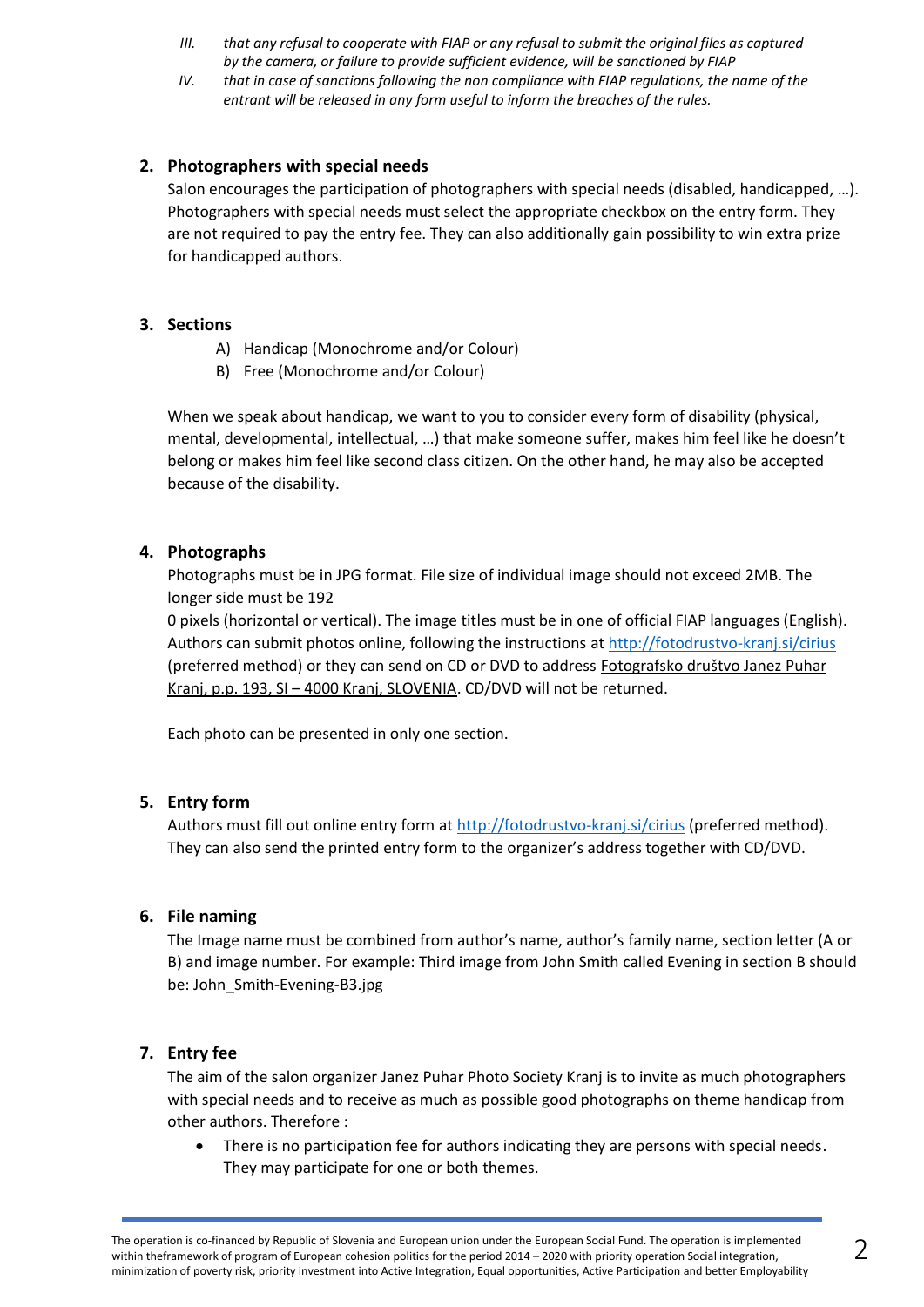- *III. that any refusal to cooperate with FIAP or any refusal to submit the original files as captured by the camera, or failure to provide sufficient evidence, will be sanctioned by FIAP*
- *IV. that in case of sanctions following the non compliance with FIAP regulations, the name of the entrant will be released in any form useful to inform the breaches of the rules.*

#### **2. Photographers with special needs**

Salon encourages the participation of photographers with special needs (disabled, handicapped, …). Photographers with special needs must select the appropriate checkbox on the entry form. They are not required to pay the entry fee. They can also additionally gain possibility to win extra prize for handicapped authors.

#### **3. Sections**

- A) Handicap (Monochrome and/or Colour)
- B) Free (Monochrome and/or Colour)

When we speak about handicap, we want to you to consider every form of disability (physical, mental, developmental, intellectual, …) that make someone suffer, makes him feel like he doesn't belong or makes him feel like second class citizen. On the other hand, he may also be accepted because of the disability.

#### **4. Photographs**

Photographs must be in JPG format. File size of individual image should not exceed 2MB. The longer side must be 192

0 pixels (horizontal or vertical). The image titles must be in one of official FIAP languages (English). Authors can submit photos online, following the instructions at <http://fotodrustvo-kranj.si/cirius> (preferred method) or they can send on CD or DVD to address Fotografsko društvo Janez Puhar Kranj, p.p. 193, SI – 4000 Kranj, SLOVENIA. CD/DVD will not be returned.

Each photo can be presented in only one section.

#### **5. Entry form**

Authors must fill out online entry form at<http://fotodrustvo-kranj.si/cirius> (preferred method). They can also send the printed entry form to the organizer's address together with CD/DVD.

#### **6. File naming**

The Image name must be combined from author's name, author's family name, section letter (A or B) and image number. For example: Third image from John Smith called Evening in section B should be: John\_Smith-Evening-B3.jpg

#### **7. Entry fee**

The aim of the salon organizer Janez Puhar Photo Society Kranj is to invite as much photographers with special needs and to receive as much as possible good photographs on theme handicap from other authors. Therefore :

There is no participation fee for authors indicating they are persons with special needs. They may participate for one or both themes.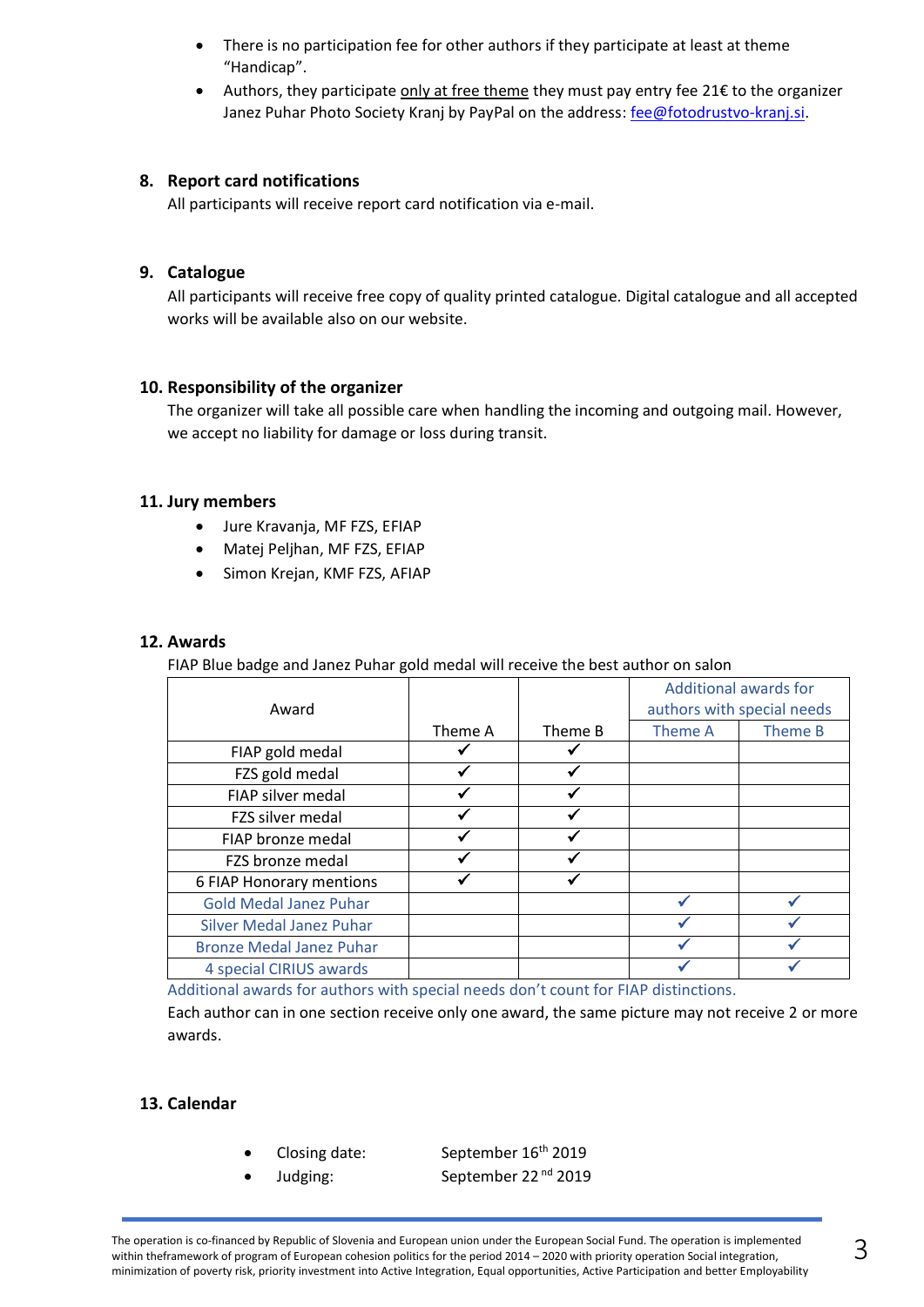- There is no participation fee for other authors if they participate at least at theme "Handicap".
- Authors, they participate only at free theme they must pay entry fee 21€ to the organizer Janez Puhar Photo Society Kranj by PayPal on the address: [fee@fotodrustvo-kranj.si.](mailto:fee@fotodrustvo-kranj.si)

#### **8. Report card notifications**

All participants will receive report card notification via e-mail.

#### **9. Catalogue**

All participants will receive free copy of quality printed catalogue. Digital catalogue and all accepted works will be available also on our website.

#### **10. Responsibility of the organizer**

The organizer will take all possible care when handling the incoming and outgoing mail. However, we accept no liability for damage or loss during transit.

#### **11. Jury members**

- Jure Kravanja, MF FZS, EFIAP
- Matej Peljhan, MF FZS, EFIAP
- Simon Krejan, KMF FZS, AFIAP

#### **12. Awards**

FIAP Blue badge and Janez Puhar gold medal will receive the best author on salon

| Award                           |         |         | <b>Additional awards for</b><br>authors with special needs |         |
|---------------------------------|---------|---------|------------------------------------------------------------|---------|
|                                 | Theme A | Theme B | Theme A                                                    | Theme B |
| FIAP gold medal                 |         |         |                                                            |         |
| FZS gold medal                  |         |         |                                                            |         |
| FIAP silver medal               |         |         |                                                            |         |
| FZS silver medal                |         |         |                                                            |         |
| FIAP bronze medal               |         |         |                                                            |         |
| FZS bronze medal                |         |         |                                                            |         |
| 6 FIAP Honorary mentions        |         |         |                                                            |         |
| <b>Gold Medal Janez Puhar</b>   |         |         |                                                            |         |
| <b>Silver Medal Janez Puhar</b> |         |         |                                                            |         |
| <b>Bronze Medal Janez Puhar</b> |         |         |                                                            |         |
| 4 special CIRIUS awards         |         |         |                                                            |         |

Additional awards for authors with special needs don't count for FIAP distinctions.

Each author can in one section receive only one award, the same picture may not receive 2 or more awards.

#### **13. Calendar**

- 
- 

Closing date: September 16<sup>th</sup> 2019 Judging: September 22<sup>nd</sup> 2019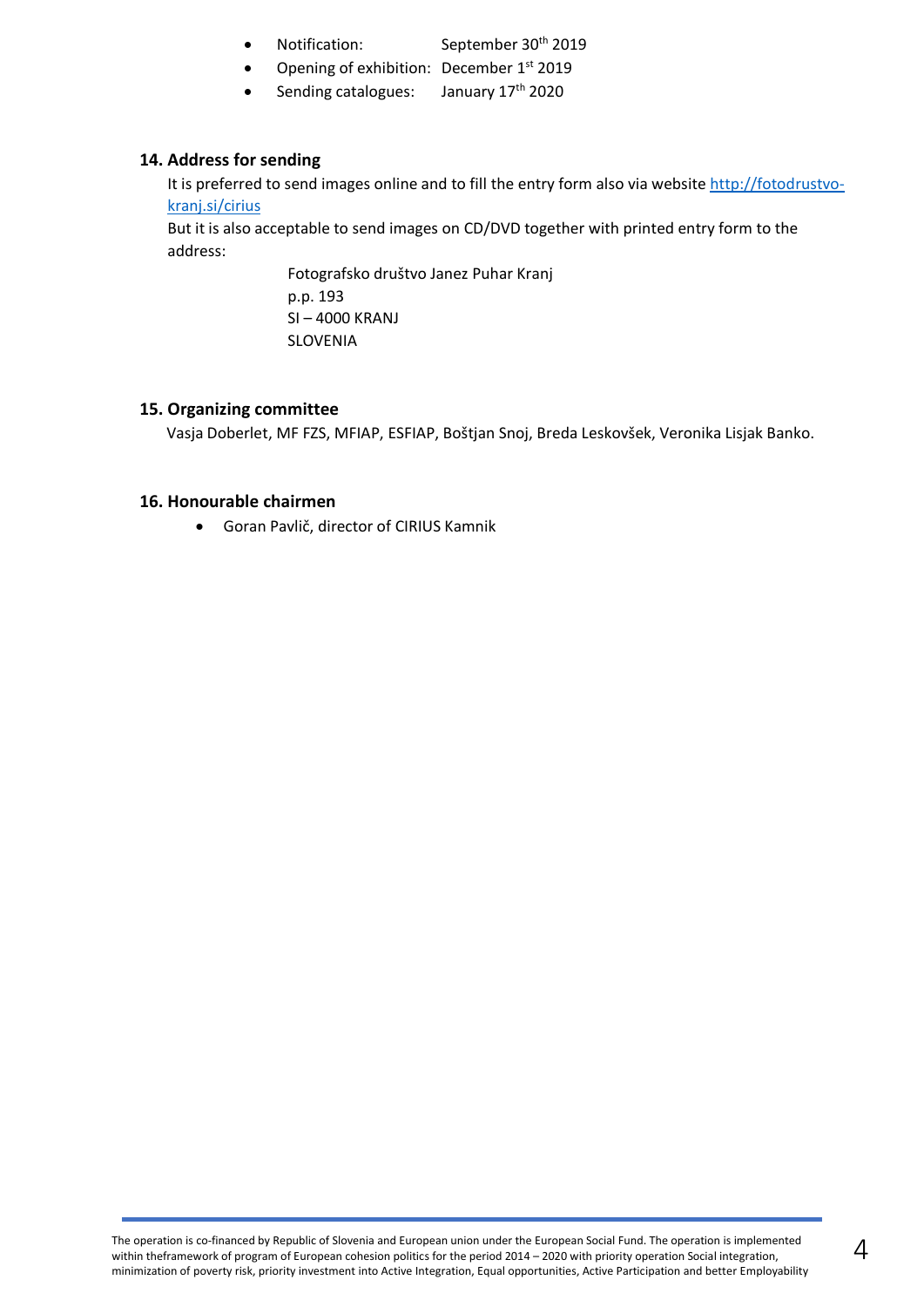- Notification: September 30<sup>th</sup> 2019
- Opening of exhibition: December 1<sup>st</sup> 2019
- Sending catalogues: January 17<sup>th</sup> 2020

#### **14. Address for sending**

It is preferred to send images online and to fill the entry form also via websit[e http://fotodrustvo](http://fotodrustvo-kranj.si/cirius)[kranj.si/cirius](http://fotodrustvo-kranj.si/cirius)

But it is also acceptable to send images on CD/DVD together with printed entry form to the address:

> Fotografsko društvo Janez Puhar Kranj p.p. 193 SI – 4000 KRANJ SLOVENIA

#### **15. Organizing committee**

Vasja Doberlet, MF FZS, MFIAP, ESFIAP, Boštjan Snoj, Breda Leskovšek, Veronika Lisjak Banko.

#### **16. Honourable chairmen**

• Goran Pavlič, director of CIRIUS Kamnik